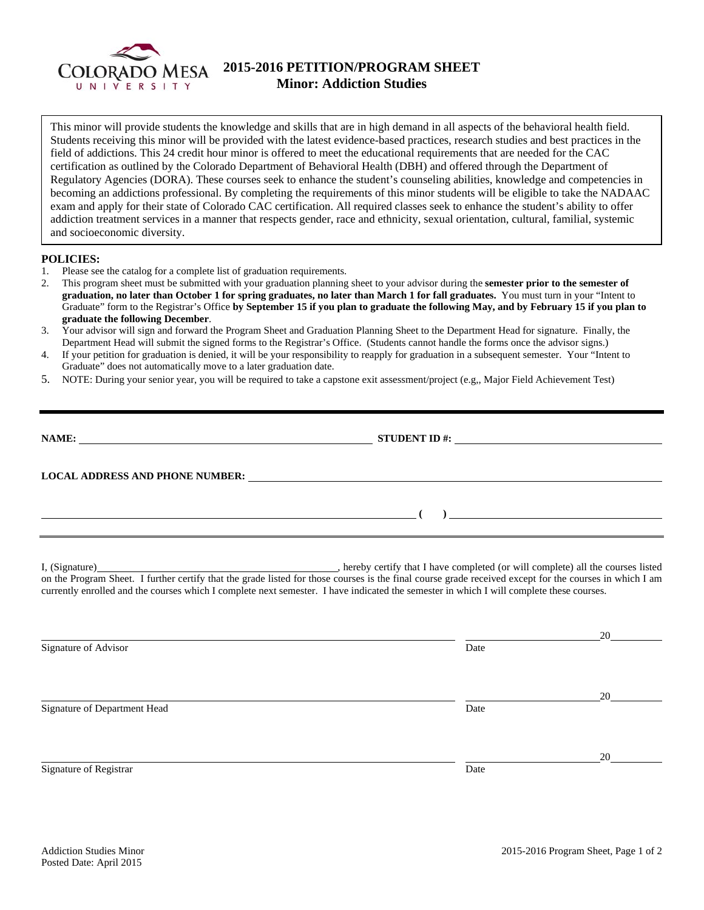

## **2015-2016 PETITION/PROGRAM SHEET Minor: Addiction Studies**

This minor will provide students the knowledge and skills that are in high demand in all aspects of the behavioral health field. Students receiving this minor will be provided with the latest evidence-based practices, research studies and best practices in the field of addictions. This 24 credit hour minor is offered to meet the educational requirements that are needed for the CAC certification as outlined by the Colorado Department of Behavioral Health (DBH) and offered through the Department of Regulatory Agencies (DORA). These courses seek to enhance the student's counseling abilities, knowledge and competencies in becoming an addictions professional. By completing the requirements of this minor students will be eligible to take the NADAAC exam and apply for their state of Colorado CAC certification. All required classes seek to enhance the student's ability to offer addiction treatment services in a manner that respects gender, race and ethnicity, sexual orientation, cultural, familial, systemic and socioeconomic diversity.

## **POLICIES:**

- 1. Please see the catalog for a complete list of graduation requirements.
- 2. This program sheet must be submitted with your graduation planning sheet to your advisor during the **semester prior to the semester of graduation, no later than October 1 for spring graduates, no later than March 1 for fall graduates.** You must turn in your "Intent to Graduate" form to the Registrar's Office **by September 15 if you plan to graduate the following May, and by February 15 if you plan to graduate the following December**.
- 3. Your advisor will sign and forward the Program Sheet and Graduation Planning Sheet to the Department Head for signature. Finally, the Department Head will submit the signed forms to the Registrar's Office. (Students cannot handle the forms once the advisor signs.)
- 4. If your petition for graduation is denied, it will be your responsibility to reapply for graduation in a subsequent semester. Your "Intent to Graduate" does not automatically move to a later graduation date.
- 5. NOTE: During your senior year, you will be required to take a capstone exit assessment/project (e.g,, Major Field Achievement Test)

| <b>NAME:</b>                                                                                                                                                                                                                  | STUDENT ID #: $\_$ |  |  |
|-------------------------------------------------------------------------------------------------------------------------------------------------------------------------------------------------------------------------------|--------------------|--|--|
| LOCAL ADDRESS AND PHONE NUMBER: University of the contract of the contract of the contract of the contract of the contract of the contract of the contract of the contract of the contract of the contract of the contract of |                    |  |  |
| <u> 1980 - Johann Harry Harry Harry Harry Harry Harry Harry Harry Harry Harry Harry Harry Harry Harry Harry Harry</u>                                                                                                         | $\overline{a}$     |  |  |

I, (Signature) , hereby certify that I have completed (or will complete) all the courses listed on the Program Sheet. I further certify that the grade listed for those courses is the final course grade received except for the courses in which I am currently enrolled and the courses which I complete next semester. I have indicated the semester in which I will complete these courses.

|                              |      | 20 |
|------------------------------|------|----|
| Signature of Advisor         | Date |    |
|                              |      |    |
|                              |      |    |
|                              |      | 20 |
| Signature of Department Head | Date |    |
|                              |      |    |
|                              |      |    |
|                              |      | 20 |
| Signature of Registrar       | Date |    |
|                              |      |    |